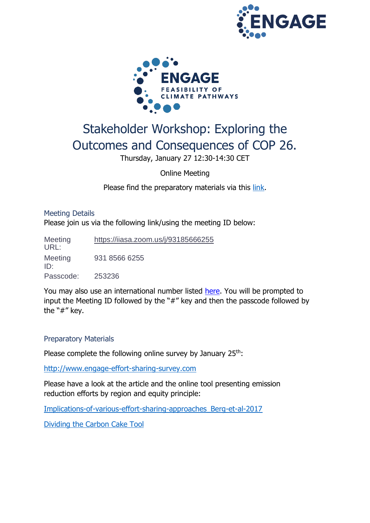



# Stakeholder Workshop: Exploring the Outcomes and Consequences of COP 26.

Thursday, January 27 12:30-14:30 CET

Online Meeting

Please find the preparatory materials via this [link.](https://www.engage-climate.org/stakeholder-workshop-exploring-the-outcomes-and-consequences-of-cop-26/)

## Meeting Details

Please join us via the following link/using the meeting ID below:

**Meeting** URL: <https://iiasa.zoom.us/j/93185666255> Meeting ID: 931 8566 6255 Passcode: 253236

You may also use an international number listed [here.](https://iiasa.zoom.us/zoomconference?m=OTI0MzQzNjU4NTM.7oMBw0uGkMiBtOJ4QXGpllS1lnsc4x19&_x_zm_rtaid=c0R7mP7QRf-h3P3PBRhOmQ.1631103754581.fcc3c34fdefd08c7b67cd019c38fccb1&_x_zm_rhtaid=395) You will be prompted to input the Meeting ID followed by the "#" key and then the passcode followed by the "#" key.

## Preparatory Materials

Please complete the following online survey by January 25<sup>th</sup>:

[http://www.engage-effort-sharing-survey.com](http://www.engage-effort-sharing-survey.com/)

Please have a look at the article and the online tool presenting emission reduction efforts by region and equity principle:

[Implications-of-various-effort-sharing-approaches\\_Berg-et-al-2017](https://www.engage-climate.org/wp-content/uploads/2022/01/Implications-of-various-effort-sharing-approaches_Berg-et-al-2017.pdf)

[Dividing the Carbon Cake Tool](https://engage-effortsharing.netlify.app/)